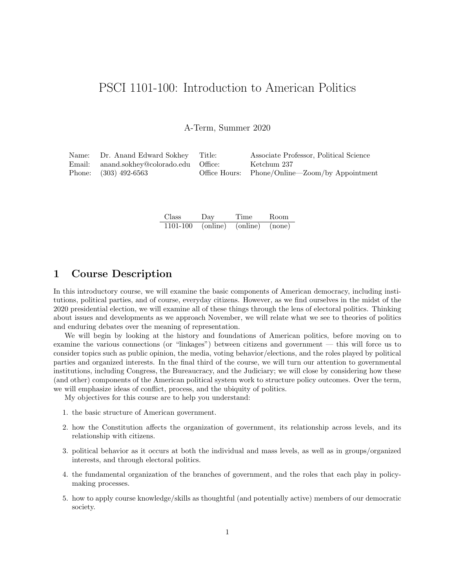# PSCI 1101-100: Introduction to American Politics

A-Term, Summer 2020

| Name: Dr. Anand Edward Sokhey Title:     | Associate Professor, Political Science         |
|------------------------------------------|------------------------------------------------|
| Email: anand.sokhey@colorado.edu Office: | Ketchum 237                                    |
| Phone: (303) 492-6563                    | Office Hours: Phone/Online—Zoom/by Appointment |

| <b>Class</b> | Day      | Time     | Room   |
|--------------|----------|----------|--------|
| 1101-100     | (online) | (online) | (none) |

## 1 Course Description

In this introductory course, we will examine the basic components of American democracy, including institutions, political parties, and of course, everyday citizens. However, as we find ourselves in the midst of the 2020 presidential election, we will examine all of these things through the lens of electoral politics. Thinking about issues and developments as we approach November, we will relate what we see to theories of politics and enduring debates over the meaning of representation.

We will begin by looking at the history and foundations of American politics, before moving on to examine the various connections (or "linkages") between citizens and government — this will force us to consider topics such as public opinion, the media, voting behavior/elections, and the roles played by political parties and organized interests. In the final third of the course, we will turn our attention to governmental institutions, including Congress, the Bureaucracy, and the Judiciary; we will close by considering how these (and other) components of the American political system work to structure policy outcomes. Over the term, we will emphasize ideas of conflict, process, and the ubiquity of politics.

My objectives for this course are to help you understand:

- 1. the basic structure of American government.
- 2. how the Constitution affects the organization of government, its relationship across levels, and its relationship with citizens.
- 3. political behavior as it occurs at both the individual and mass levels, as well as in groups/organized interests, and through electoral politics.
- 4. the fundamental organization of the branches of government, and the roles that each play in policymaking processes.
- 5. how to apply course knowledge/skills as thoughtful (and potentially active) members of our democratic society.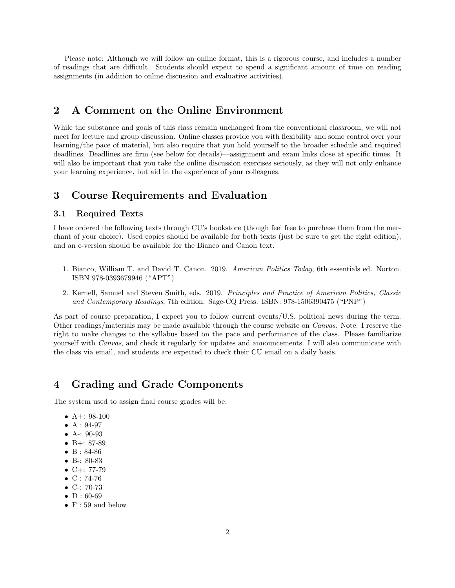Please note: Although we will follow an online format, this is a rigorous course, and includes a number of readings that are difficult. Students should expect to spend a significant amount of time on reading assignments (in addition to online discussion and evaluative activities).

## 2 A Comment on the Online Environment

While the substance and goals of this class remain unchanged from the conventional classroom, we will not meet for lecture and group discussion. Online classes provide you with flexibility and some control over your learning/the pace of material, but also require that you hold yourself to the broader schedule and required deadlines. Deadlines are firm (see below for details)—assignment and exam links close at specific times. It will also be important that you take the online discussion exercises seriously, as they will not only enhance your learning experience, but aid in the experience of your colleagues.

## 3 Course Requirements and Evaluation

### 3.1 Required Texts

I have ordered the following texts through CU's bookstore (though feel free to purchase them from the merchant of your choice). Used copies should be available for both texts (just be sure to get the right edition), and an e-version should be available for the Bianco and Canon text.

- 1. Bianco, William T. and David T. Canon. 2019. American Politics Today, 6th essentials ed. Norton. ISBN 978-0393679946 ("APT")
- 2. Kernell, Samuel and Steven Smith, eds. 2019. Principles and Practice of American Politics, Classic and Contemporary Readings, 7th edition. Sage-CQ Press. ISBN: 978-1506390475 ("PNP")

As part of course preparation, I expect you to follow current events/U.S. political news during the term. Other readings/materials may be made available through the course website on Canvas. Note: I reserve the right to make changes to the syllabus based on the pace and performance of the class. Please familiarize yourself with Canvas, and check it regularly for updates and announcements. I will also communicate with the class via email, and students are expected to check their CU email on a daily basis.

## 4 Grading and Grade Components

The system used to assign final course grades will be:

- A+:  $98-100$
- A: 94-97
- A-: 90-93
- B $+$ : 87-89
- B: 84-86
- B-: 80-83
- $C+: 77-79$
- $C: 74-76$
- C-: 70-73
- $D: 60-69$
- $F: 59$  and below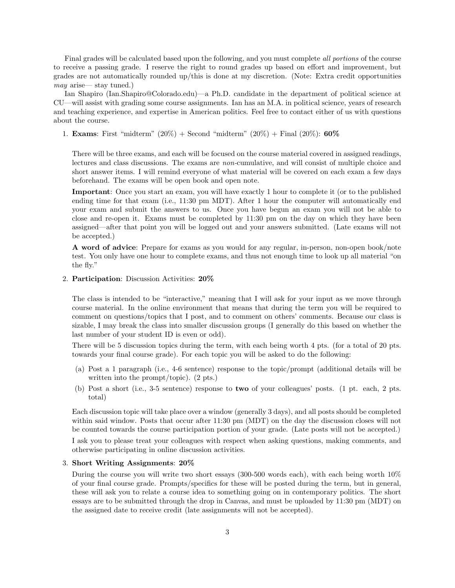Final grades will be calculated based upon the following, and you must complete all portions of the course to receive a passing grade. I reserve the right to round grades up based on effort and improvement, but grades are not automatically rounded up/this is done at my discretion. (Note: Extra credit opportunities may arise— stay tuned.)

Ian Shapiro (Ian.Shapiro@Colorado.edu)—a Ph.D. candidate in the department of political science at CU—will assist with grading some course assignments. Ian has an M.A. in political science, years of research and teaching experience, and expertise in American politics. Feel free to contact either of us with questions about the course.

1. **Exams**: First "midterm"  $(20\%)$  + Second "midterm"  $(20\%)$  + Final  $(20\%)$ : **60%** 

There will be three exams, and each will be focused on the course material covered in assigned readings, lectures and class discussions. The exams are non-cumulative, and will consist of multiple choice and short answer items. I will remind everyone of what material will be covered on each exam a few days beforehand. The exams will be open book and open note.

Important: Once you start an exam, you will have exactly 1 hour to complete it (or to the published ending time for that exam (i.e., 11:30 pm MDT). After 1 hour the computer will automatically end your exam and submit the answers to us. Once you have begun an exam you will not be able to close and re-open it. Exams must be completed by 11:30 pm on the day on which they have been assigned—after that point you will be logged out and your answers submitted. (Late exams will not be accepted.)

A word of advice: Prepare for exams as you would for any regular, in-person, non-open book/note test. You only have one hour to complete exams, and thus not enough time to look up all material "on the fly."

2. Participation: Discussion Activities: 20%

The class is intended to be "interactive," meaning that I will ask for your input as we move through course material. In the online environment that means that during the term you will be required to comment on questions/topics that I post, and to comment on others' comments. Because our class is sizable, I may break the class into smaller discussion groups (I generally do this based on whether the last number of your student ID is even or odd).

There will be 5 discussion topics during the term, with each being worth 4 pts. (for a total of 20 pts. towards your final course grade). For each topic you will be asked to do the following:

- (a) Post a 1 paragraph (i.e., 4-6 sentence) response to the topic/prompt (additional details will be written into the prompt/topic). (2 pts.)
- (b) Post a short (i.e., 3-5 sentence) response to two of your colleagues' posts. (1 pt. each, 2 pts. total)

Each discussion topic will take place over a window (generally 3 days), and all posts should be completed within said window. Posts that occur after 11:30 pm (MDT) on the day the discussion closes will not be counted towards the course participation portion of your grade. (Late posts will not be accepted.)

I ask you to please treat your colleagues with respect when asking questions, making comments, and otherwise participating in online discussion activities.

#### 3. Short Writing Assignments: 20%

During the course you will write two short essays (300-500 words each), with each being worth 10% of your final course grade. Prompts/specifics for these will be posted during the term, but in general, these will ask you to relate a course idea to something going on in contemporary politics. The short essays are to be submitted through the drop in Canvas, and must be uploaded by 11:30 pm (MDT) on the assigned date to receive credit (late assignments will not be accepted).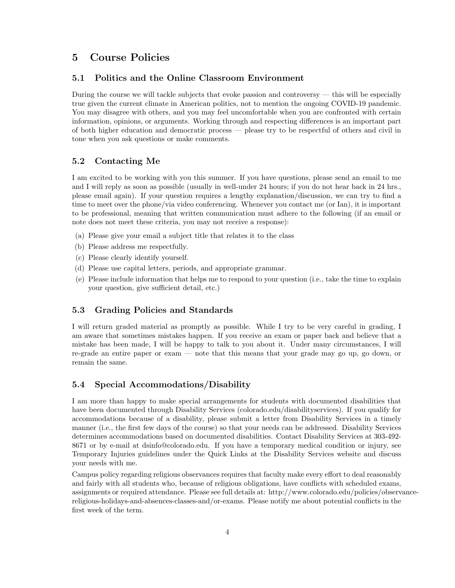## 5 Course Policies

#### 5.1 Politics and the Online Classroom Environment

During the course we will tackle subjects that evoke passion and controversy — this will be especially true given the current climate in American politics, not to mention the ongoing COVID-19 pandemic. You may disagree with others, and you may feel uncomfortable when you are confronted with certain information, opinions, or arguments. Working through and respecting differences is an important part of both higher education and democratic process — please try to be respectful of others and civil in tone when you ask questions or make comments.

### 5.2 Contacting Me

I am excited to be working with you this summer. If you have questions, please send an email to me and I will reply as soon as possible (usually in well-under 24 hours; if you do not hear back in 24 hrs., please email again). If your question requires a lengthy explanation/discussion, we can try to find a time to meet over the phone/via video conferencing. Whenever you contact me (or Ian), it is important to be professional, meaning that written communication must adhere to the following (if an email or note does not meet these criteria, you may not receive a response):

- (a) Please give your email a subject title that relates it to the class
- (b) Please address me respectfully.
- (c) Please clearly identify yourself.
- (d) Please use capital letters, periods, and appropriate grammar.
- (e) Please include information that helps me to respond to your question (i.e., take the time to explain your question, give sufficient detail, etc.)

## 5.3 Grading Policies and Standards

I will return graded material as promptly as possible. While I try to be very careful in grading, I am aware that sometimes mistakes happen. If you receive an exam or paper back and believe that a mistake has been made, I will be happy to talk to you about it. Under many circumstances, I will re-grade an entire paper or exam — note that this means that your grade may go up, go down, or remain the same.

### 5.4 Special Accommodations/Disability

I am more than happy to make special arrangements for students with documented disabilities that have been documented through Disability Services (colorado.edu/disabilityservices). If you qualify for accommodations because of a disability, please submit a letter from Disability Services in a timely manner (i.e., the first few days of the course) so that your needs can be addressed. Disability Services determines accommodations based on documented disabilities. Contact Disability Services at 303-492- 8671 or by e-mail at dsinfo@colorado.edu. If you have a temporary medical condition or injury, see Temporary Injuries guidelines under the Quick Links at the Disability Services website and discuss your needs with me.

Campus policy regarding religious observances requires that faculty make every effort to deal reasonably and fairly with all students who, because of religious obligations, have conflicts with scheduled exams, assignments or required attendance. Please see full details at: http://www.colorado.edu/policies/observancereligious-holidays-and-absences-classes-and/or-exams. Please notify me about potential conflicts in the first week of the term.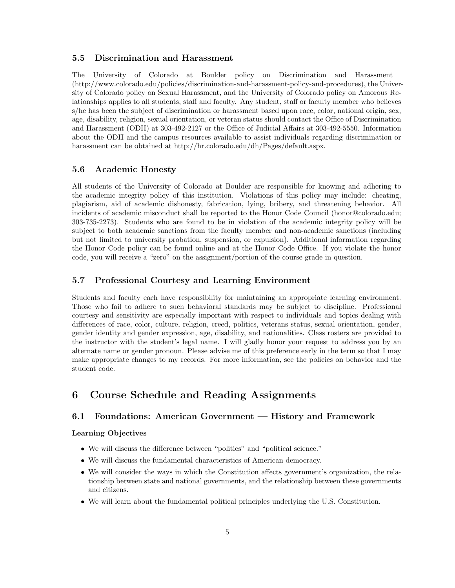#### 5.5 Discrimination and Harassment

The University of Colorado at Boulder policy on Discrimination and Harassment (http://www.colorado.edu/policies/discrimination-and-harassment-policy-and-procedures), the University of Colorado policy on Sexual Harassment, and the University of Colorado policy on Amorous Relationships applies to all students, staff and faculty. Any student, staff or faculty member who believes s/he has been the subject of discrimination or harassment based upon race, color, national origin, sex, age, disability, religion, sexual orientation, or veteran status should contact the Office of Discrimination and Harassment (ODH) at 303-492-2127 or the Office of Judicial Affairs at 303-492-5550. Information about the ODH and the campus resources available to assist individuals regarding discrimination or harassment can be obtained at http://hr.colorado.edu/dh/Pages/default.aspx.

### 5.6 Academic Honesty

All students of the University of Colorado at Boulder are responsible for knowing and adhering to the academic integrity policy of this institution. Violations of this policy may include: cheating, plagiarism, aid of academic dishonesty, fabrication, lying, bribery, and threatening behavior. All incidents of academic misconduct shall be reported to the Honor Code Council (honor@colorado.edu; 303-735-2273). Students who are found to be in violation of the academic integrity policy will be subject to both academic sanctions from the faculty member and non-academic sanctions (including but not limited to university probation, suspension, or expulsion). Additional information regarding the Honor Code policy can be found online and at the Honor Code Office. If you violate the honor code, you will receive a "zero" on the assignment/portion of the course grade in question.

### 5.7 Professional Courtesy and Learning Environment

Students and faculty each have responsibility for maintaining an appropriate learning environment. Those who fail to adhere to such behavioral standards may be subject to discipline. Professional courtesy and sensitivity are especially important with respect to individuals and topics dealing with differences of race, color, culture, religion, creed, politics, veterans status, sexual orientation, gender, gender identity and gender expression, age, disability, and nationalities. Class rosters are provided to the instructor with the student's legal name. I will gladly honor your request to address you by an alternate name or gender pronoun. Please advise me of this preference early in the term so that I may make appropriate changes to my records. For more information, see the policies on behavior and the student code.

## 6 Course Schedule and Reading Assignments

### 6.1 Foundations: American Government — History and Framework

#### Learning Objectives

- We will discuss the difference between "politics" and "political science."
- We will discuss the fundamental characteristics of American democracy.
- We will consider the ways in which the Constitution affects government's organization, the relationship between state and national governments, and the relationship between these governments and citizens.
- We will learn about the fundamental political principles underlying the U.S. Constitution.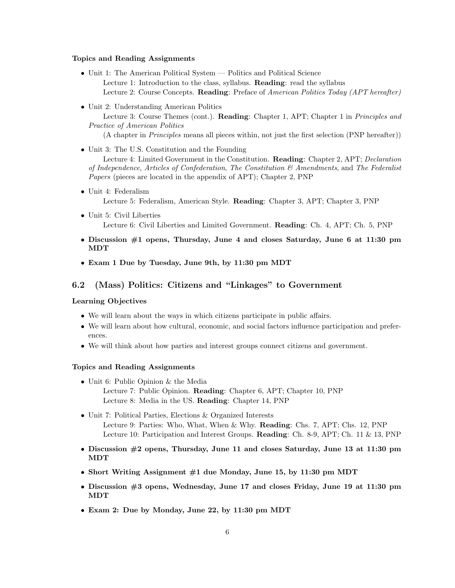#### Topics and Reading Assignments

- Unit 1: The American Political System Politics and Political Science Lecture 1: Introduction to the class, syllabus. **Reading**: read the syllabus Lecture 2: Course Concepts. Reading: Preface of American Politics Today (APT hereafter)
- Unit 2: Understanding American Politics

Lecture 3: Course Themes (cont.). Reading: Chapter 1, APT; Chapter 1 in Principles and Practice of American Politics

(A chapter in Principles means all pieces within, not just the first selection (PNP hereafter))

• Unit 3: The U.S. Constitution and the Founding

Lecture 4: Limited Government in the Constitution. Reading: Chapter 2, APT; Declaration of Independence, Articles of Confederation, The Constitution & Amendments, and The Federalist Papers (pieces are located in the appendix of APT); Chapter 2, PNP

- Unit 4: Federalism Lecture 5: Federalism, American Style. Reading: Chapter 3, APT; Chapter 3, PNP
- Unit 5: Civil Liberties Lecture 6: Civil Liberties and Limited Government. Reading: Ch. 4, APT; Ch. 5, PNP
- Discussion #1 opens, Thursday, June 4 and closes Saturday, June 6 at 11:30 pm MDT
- Exam 1 Due by Tuesday, June 9th, by 11:30 pm MDT

### 6.2 (Mass) Politics: Citizens and "Linkages" to Government

#### Learning Objectives

- We will learn about the ways in which citizens participate in public affairs.
- We will learn about how cultural, economic, and social factors influence participation and preferences.
- We will think about how parties and interest groups connect citizens and government.

#### Topics and Reading Assignments

- Unit 6: Public Opinion & the Media Lecture 7: Public Opinion. Reading: Chapter 6, APT; Chapter 10, PNP Lecture 8: Media in the US. Reading: Chapter 14, PNP
- Unit 7: Political Parties, Elections & Organized Interests Lecture 9: Parties: Who, What, When & Why. Reading: Chs. 7, APT; Chs. 12, PNP Lecture 10: Participation and Interest Groups. Reading: Ch. 8-9, APT; Ch. 11  $\&$  13, PNP
- Discussion #2 opens, Thursday, June 11 and closes Saturday, June 13 at 11:30 pm MDT
- Short Writing Assignment #1 due Monday, June 15, by 11:30 pm MDT
- Discussion  $#3$  opens, Wednesday, June 17 and closes Friday, June 19 at 11:30 pm MDT
- Exam 2: Due by Monday, June 22, by 11:30 pm MDT